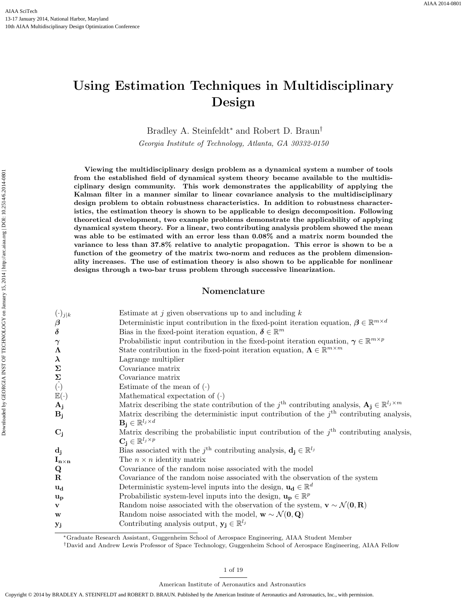# Using Estimation Techniques in Multidisciplinary Design

Bradley A. Steinfeldt<sup>∗</sup> and Robert D. Braun†

Georgia Institute of Technology, Atlanta, GA 30332-0150

Viewing the multidisciplinary design problem as a dynamical system a number of tools from the established field of dynamical system theory became available to the multidisciplinary design community. This work demonstrates the applicability of applying the Kalman filter in a manner similar to linear covariance analysis to the multidisciplinary design problem to obtain robustness characteristics. In addition to robustness characteristics, the estimation theory is shown to be applicable to design decomposition. Following theoretical development, two example problems demonstrate the applicability of applying dynamical system theory. For a linear, two contributing analysis problem showed the mean was able to be estimated with an error less than 0.08% and a matrix norm bounded the variance to less than 37.8% relative to analytic propagation. This error is shown to be a function of the geometry of the matrix two-norm and reduces as the problem dimensionality increases. The use of estimation theory is also shown to be applicable for nonlinear designs through a two-bar truss problem through successive linearization.

# Nomenclature

| $(\cdot)_{j k}$                           | Estimate at $j$ given observations up to and including $k$                                                                 |  |  |
|-------------------------------------------|----------------------------------------------------------------------------------------------------------------------------|--|--|
| $\boldsymbol{\beta}$                      | Deterministic input contribution in the fixed-point iteration equation, $\boldsymbol{\beta} \in \mathbb{R}^{m \times d}$   |  |  |
| $\delta$                                  | Bias in the fixed-point iteration equation, $\boldsymbol{\delta} \in \mathbb{R}^m$                                         |  |  |
| $\gamma$                                  | Probabilistic input contribution in the fixed-point iteration equation, $\gamma \in \mathbb{R}^{m \times p}$               |  |  |
| $\boldsymbol{\Lambda}$                    | State contribution in the fixed-point iteration equation, $\Lambda \in \mathbb{R}^{m \times m}$                            |  |  |
| $\lambda$                                 | Lagrange multiplier                                                                                                        |  |  |
| $\Sigma$                                  | Covariance matrix                                                                                                          |  |  |
|                                           | Covariance matrix                                                                                                          |  |  |
| $\sum_{\hat{}}$                           | Estimate of the mean of $(\cdot)$                                                                                          |  |  |
| $\mathbb{E}(\cdot)$                       | Mathematical expectation of $(\cdot)$                                                                                      |  |  |
| $\mathbf{A_j}$                            | Matrix describing the state contribution of the j <sup>th</sup> contributing analysis, $A_i \in \mathbb{R}^{l_j \times m}$ |  |  |
| $\mathbf{B}_{\mathbf{j}}$                 | Matrix describing the deterministic input contribution of the $jth$ contributing analysis,                                 |  |  |
|                                           | $\mathbf{B_i} \in \mathbb{R}^{l_j \times d}$                                                                               |  |  |
| $C_j$                                     | Matrix describing the probabilistic input contribution of the $jth$ contributing analysis,                                 |  |  |
|                                           | $\mathbf{C_i} \in \mathbb{R}^{l_j \times p}$                                                                               |  |  |
| $\mathbf{d_j}$                            | Bias associated with the $j^{\text{th}}$ contributing analysis, $\mathbf{d_i} \in \mathbb{R}^{l_j}$                        |  |  |
| $\mathbf{I}_{\mathbf{n}\times\mathbf{n}}$ | The $n \times n$ identity matrix                                                                                           |  |  |
| Q                                         | Covariance of the random noise associated with the model                                                                   |  |  |
| R                                         | Covariance of the random noise associated with the observation of the system                                               |  |  |
| $u_d$                                     | Deterministic system-level inputs into the design, $\mathbf{u}_d \in \mathbb{R}^d$                                         |  |  |
| $\mathbf{u}_{\mathbf{p}}$                 | Probabilistic system-level inputs into the design, $\mathbf{u_p} \in \mathbb{R}^p$                                         |  |  |
| V                                         | Random noise associated with the observation of the system, $\mathbf{v} \sim \mathcal{N}(\mathbf{0}, \mathbf{R})$          |  |  |
| w                                         | Random noise associated with the model, $\mathbf{w} \sim \mathcal{N}(\mathbf{0}, \mathbf{Q})$                              |  |  |
| $y_j$                                     | Contributing analysis output, $\mathbf{y}_i \in \mathbb{R}^{l_j}$                                                          |  |  |

<sup>∗</sup>Graduate Research Assistant, Guggenheim School of Aerospace Engineering, AIAA Student Member

†David and Andrew Lewis Professor of Space Technology, Guggenheim School of Aerospace Engineering, AIAA Fellow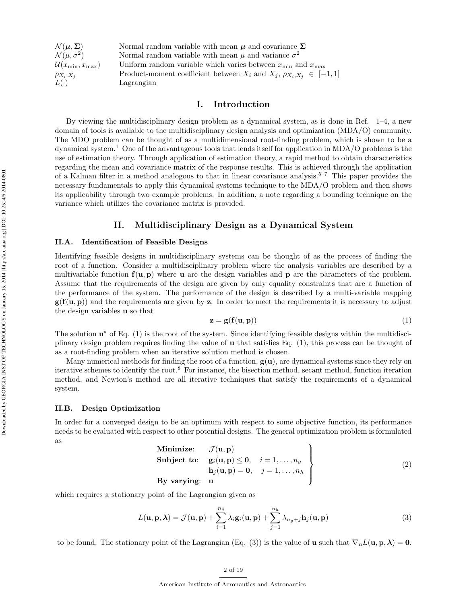| Normal random variable with mean $\mu$ and covariance $\Sigma$                     |
|------------------------------------------------------------------------------------|
| Normal random variable with mean $\mu$ and variance $\sigma^2$                     |
| Uniform random variable which varies between $x_{\min}$ and $x_{\max}$             |
| Product-moment coefficient between $X_i$ and $X_j$ , $\rho_{X_i, X_j} \in [-1, 1]$ |
| Lagrangian                                                                         |
|                                                                                    |

# I. Introduction

By viewing the multidisciplinary design problem as a dynamical system, as is done in Ref. 1–4, a new domain of tools is available to the multidisciplinary design analysis and optimization (MDA/O) community. The MDO problem can be thought of as a multidimensional root-finding problem, which is shown to be a dynamical system.<sup>1</sup> One of the advantageous tools that lends itself for application in MDA/O problems is the use of estimation theory. Through application of estimation theory, a rapid method to obtain characteristics regarding the mean and covariance matrix of the response results. This is achieved through the application of a Kalman filter in a method analogous to that in linear covariance analysis.<sup>5–7</sup> This paper provides the necessary fundamentals to apply this dynamical systems technique to the MDA/O problem and then shows its applicability through two example problems. In addition, a note regarding a bounding technique on the variance which utilizes the covariance matrix is provided.

# II. Multidisciplinary Design as a Dynamical System

#### II.A. Identification of Feasible Designs

Identifying feasible designs in multidisciplinary systems can be thought of as the process of finding the root of a function. Consider a multidisciplinary problem where the analysis variables are described by a multivariable function  $f(u, p)$  where u are the design variables and p are the parameters of the problem. Assume that the requirements of the design are given by only equality constraints that are a function of the performance of the system. The performance of the design is described by a multi-variable mapping  $g(f(u, p))$  and the requirements are given by z. In order to meet the requirements it is necessary to adjust the design variables u so that

$$
\mathbf{z} = \mathbf{g}(\mathbf{f}(\mathbf{u}, \mathbf{p})) \tag{1}
$$

The solution  $\mathbf{u}^*$  of Eq. (1) is the root of the system. Since identifying feasible designs within the multidisciplinary design problem requires finding the value of u that satisfies Eq. (1), this process can be thought of as a root-finding problem when an iterative solution method is chosen.

Many numerical methods for finding the root of a function,  $g(u)$ , are dynamical systems since they rely on iterative schemes to identify the root.<sup>8</sup> For instance, the bisection method, secant method, function iteration method, and Newton's method are all iterative techniques that satisfy the requirements of a dynamical system.

#### II.B. Design Optimization

In order for a converged design to be an optimum with respect to some objective function, its performance needs to be evaluated with respect to other potential designs. The general optimization problem is formulated as

Minimize: 
$$
\mathcal{J}(\mathbf{u}, \mathbf{p})
$$
  
\nSubject to:  $\mathbf{g}_i(\mathbf{u}, \mathbf{p}) \leq \mathbf{0}, \quad i = 1, ..., n_g$   
\n $\mathbf{h}_j(\mathbf{u}, \mathbf{p}) = \mathbf{0}, \quad j = 1, ..., n_h$   
\nBy varying:  $\mathbf{u}$  (2)

which requires a stationary point of the Lagrangian given as

$$
L(\mathbf{u}, \mathbf{p}, \boldsymbol{\lambda}) = \mathcal{J}(\mathbf{u}, \mathbf{p}) + \sum_{i=1}^{n_g} \lambda_i \mathbf{g}_i(\mathbf{u}, \mathbf{p}) + \sum_{j=1}^{n_h} \lambda_{n_g + j} \mathbf{h}_j(\mathbf{u}, \mathbf{p})
$$
(3)

to be found. The stationary point of the Lagrangian (Eq. (3)) is the value of **u** such that  $\nabla_{\mathbf{u}}L(\mathbf{u}, \mathbf{p}, \boldsymbol{\lambda}) = \mathbf{0}$ .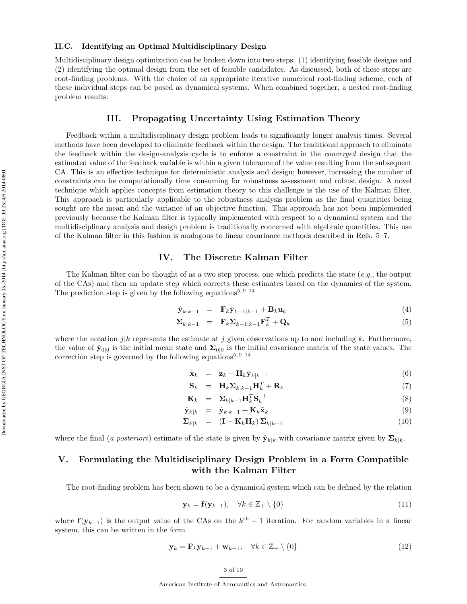#### II.C. Identifying an Optimal Multidisciplinary Design

Multidisciplinary design optimization can be broken down into two steps: (1) identifying feasible designs and (2) identifying the optimal design from the set of feasible candidates. As discussed, both of these steps are root-finding problems. With the choice of an appropriate iterative numerical root-finding scheme, each of these individual steps can be posed as dynamical systems. When combined together, a nested root-finding problem results.

# III. Propagating Uncertainty Using Estimation Theory

Feedback within a multidisciplinary design problem leads to significantly longer analysis times. Several methods have been developed to eliminate feedback within the design. The traditional approach to eliminate the feedback within the design-analysis cycle is to enforce a constraint in the converged design that the estimated value of the feedback variable is within a given tolerance of the value resulting from the subsequent CA. This is an effective technique for deterministic analysis and design; however, increasing the number of constraints can be computationally time consuming for robustness assessment and robust design. A novel technique which applies concepts from estimation theory to this challenge is the use of the Kalman filter. This approach is particularly applicable to the robustness analysis problem as the final quantities being sought are the mean and the variance of an objective function. This approach has not been implemented previously because the Kalman filter is typically implemented with respect to a dynamical system and the multidisciplinary analysis and design problem is traditionally concerned with algebraic quantities. This use of the Kalman filter in this fashion is analogous to linear covariance methods described in Refs. 5–7.

## IV. The Discrete Kalman Filter

The Kalman filter can be thought of as a two step process, one which predicts the state (e.g., the output of the CAs) and then an update step which corrects these estimates based on the dynamics of the system. The prediction step is given by the following equations<sup>5, 9–14</sup>

$$
\hat{\mathbf{y}}_{k|k-1} = \mathbf{F}_k \hat{\mathbf{y}}_{k-1|k-1} + \mathbf{B}_k \mathbf{u}_k \tag{4}
$$

$$
\Sigma_{k|k-1} = \mathbf{F}_k \Sigma_{k-1|k-1} \mathbf{F}_k^T + \mathbf{Q}_k
$$
\n(5)

where the notation j|k represents the estimate at j given observations up to and including k. Furthermore, the value of  $\hat{y}_{0|0}$  is the initial mean state and  $\Sigma_{0|0}$  is the initial covariance matrix of the state values. The correction step is governed by the following equations<sup>5, 9–14</sup>

$$
\tilde{\mathbf{x}}_k = \mathbf{z}_k - \mathbf{H}_k \hat{\mathbf{y}}_{k|k-1} \tag{6}
$$

$$
\mathbf{S}_k = \mathbf{H}_k \mathbf{\Sigma}_{k|k-1} \mathbf{H}_k^T + \mathbf{R}_k \tag{7}
$$

$$
\mathbf{K}_k = \Sigma_{k|k-1} \mathbf{H}_k^T \mathbf{S}_k^{-1} \tag{8}
$$

$$
\hat{\mathbf{y}}_{k|k} = \hat{\mathbf{y}}_{k|k-1} + \mathbf{K}_k \tilde{\mathbf{x}}_k \tag{9}
$$

$$
\mathbf{\Sigma}_{k|k} = (\mathbf{I} - \mathbf{K}_k \mathbf{H}_k) \, \mathbf{\Sigma}_{k|k-1} \tag{10}
$$

where the final (a posteriori) estimate of the state is given by  $\hat{\mathbf{y}}_{k|k}$  with covariance matrix given by  $\mathbf{\Sigma}_{k|k}$ .

# V. Formulating the Multidisciplinary Design Problem in a Form Compatible with the Kalman Filter

The root-finding problem has been shown to be a dynamical system which can be defined by the relation

$$
\mathbf{y}_k = \mathbf{f}(\mathbf{y}_{k-1}), \quad \forall k \in \mathbb{Z}_+ \setminus \{0\} \tag{11}
$$

where  $f(y_{k-1})$  is the output value of the CAs on the  $k<sup>th</sup> - 1$  iteration. For random variables in a linear system, this can be written in the form

$$
\mathbf{y}_k = \mathbf{F}_k \mathbf{y}_{k-1} + \mathbf{w}_{k-1}, \quad \forall k \in \mathbb{Z}_+ \setminus \{0\} \tag{12}
$$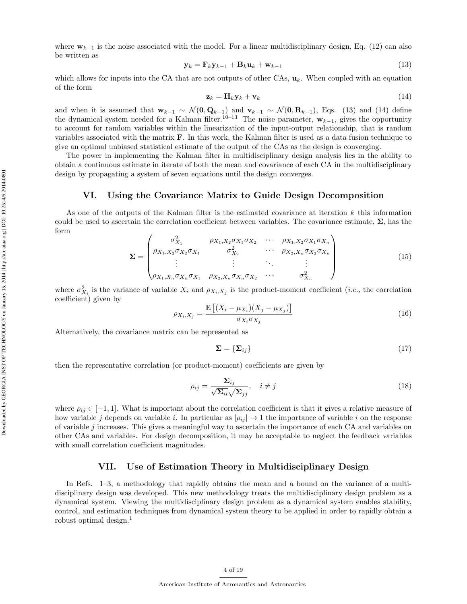where  $w_{k-1}$  is the noise associated with the model. For a linear multidisciplinary design, Eq. (12) can also be written as

$$
\mathbf{y}_k = \mathbf{F}_k \mathbf{y}_{k-1} + \mathbf{B}_k \mathbf{u}_k + \mathbf{w}_{k-1} \tag{13}
$$

which allows for inputs into the CA that are not outputs of other CAs,  $\mathbf{u}_k$ . When coupled with an equation of the form

$$
\mathbf{z}_k = \mathbf{H}_k \mathbf{y}_k + \mathbf{v}_k \tag{14}
$$

and when it is assumed that  $\mathbf{w}_{k-1} \sim \mathcal{N}(\mathbf{0}, \mathbf{Q}_{k-1})$  and  $\mathbf{v}_{k-1} \sim \mathcal{N}(\mathbf{0}, \mathbf{R}_{k-1})$ , Eqs. (13) and (14) define the dynamical system needed for a Kalman filter.<sup>10–13</sup> The noise parameter,  $w_{k-1}$ , gives the opportunity to account for random variables within the linearization of the input-output relationship, that is random variables associated with the matrix F. In this work, the Kalman filter is used as a data fusion technique to give an optimal unbiased statistical estimate of the output of the CAs as the design is converging.

The power in implementing the Kalman filter in multidisciplinary design analysis lies in the ability to obtain a continuous estimate in iterate of both the mean and covariance of each CA in the multidisciplinary design by propagating a system of seven equations until the design converges.

#### VI. Using the Covariance Matrix to Guide Design Decomposition

As one of the outputs of the Kalman filter is the estimated covariance at iteration  $k$  this information could be used to ascertain the correlation coefficient between variables. The covariance estimate,  $\Sigma$ , has the form

$$
\Sigma = \begin{pmatrix} \sigma_{X_1}^2 & \rho_{X_1, X_2} \sigma_{X_1} \sigma_{X_2} & \cdots & \rho_{X_1, X_2} \sigma_{X_1} \sigma_{X_n} \\ \rho_{X_1, X_2} \sigma_{X_2} \sigma_{X_1} & \sigma_{X_2}^2 & \cdots & \rho_{X_2, X_n} \sigma_{X_2} \sigma_{X_n} \\ \vdots & \vdots & \ddots & \vdots \\ \rho_{X_1, X_n} \sigma_{X_n} \sigma_{X_1} & \rho_{X_2, X_n} \sigma_{X_n} \sigma_{X_2} & \cdots & \sigma_{X_n}^2 \end{pmatrix}
$$
(15)

where  $\sigma_{X_i}^2$  is the variance of variable  $X_i$  and  $\rho_{X_i,X_j}$  is the product-moment coefficient (*i.e.*, the correlation coefficient) given by

$$
\rho_{X_i, X_j} = \frac{\mathbb{E}\left[ (X_i - \mu_{X_i})(X_j - \mu_{X_j}) \right]}{\sigma_{X_i} \sigma_{X_j}} \tag{16}
$$

Alternatively, the covariance matrix can be represented as

$$
\Sigma = \{\Sigma_{ij}\}\tag{17}
$$

then the representative correlation (or product-moment) coefficients are given by

$$
\rho_{ij} = \frac{\Sigma_{ij}}{\sqrt{\Sigma_{ii}}\sqrt{\Sigma_{jj}}}, \quad i \neq j \tag{18}
$$

where  $\rho_{ij} \in [-1,1]$ . What is important about the correlation coefficient is that it gives a relative measure of how variable j depends on variable i. In particular as  $|\rho_{ij}| \to 1$  the importance of variable i on the response of variable j increases. This gives a meaningful way to ascertain the importance of each CA and variables on other CAs and variables. For design decomposition, it may be acceptable to neglect the feedback variables with small correlation coefficient magnitudes.

# VII. Use of Estimation Theory in Multidisciplinary Design

In Refs. 1–3, a methodology that rapidly obtains the mean and a bound on the variance of a multidisciplinary design was developed. This new methodology treats the multidisciplinary design problem as a dynamical system. Viewing the multidisciplinary design problem as a dynamical system enables stability, control, and estimation techniques from dynamical system theory to be applied in order to rapidly obtain a robust optimal design.<sup>1</sup>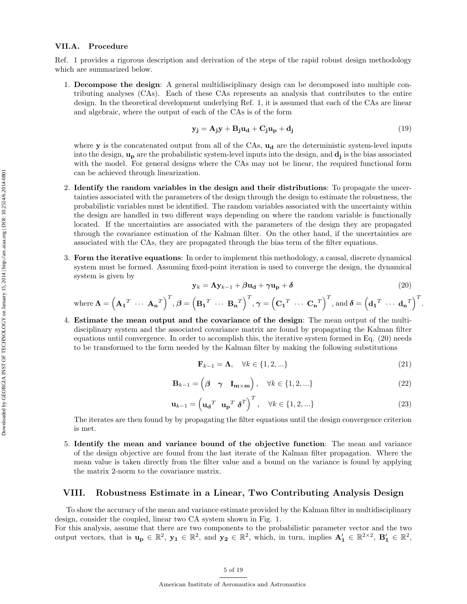#### VII.A. Procedure

Ref. 1 provides a rigorous description and derivation of the steps of the rapid robust design methodology which are summarized below.

1. Decompose the design: A general multidisciplinary design can be decomposed into multiple contributing analyses (CAs). Each of these CAs represents an analysis that contributes to the entire design. In the theoretical development underlying Ref. 1, it is assumed that each of the CAs are linear and algebraic, where the output of each of the CAs is of the form

$$
\mathbf{y_j} = \mathbf{A_j} \mathbf{y} + \mathbf{B_j} \mathbf{u_d} + \mathbf{C_j} \mathbf{u_p} + \mathbf{d_j}
$$
 (19)

where  $\mathbf y$  is the concatenated output from all of the CAs,  $\mathbf u_d$  are the deterministic system-level inputs into the design,  $\mathbf{u_p}$  are the probabilistic system-level inputs into the design, and  $\mathbf{d_j}$  is the bias associated with the model. For general designs where the CAs may not be linear, the required functional form can be achieved through linearization.

- 2. Identify the random variables in the design and their distributions: To propagate the uncertainties associated with the parameters of the design through the design to estimate the robustness, the probabilistic variables must be identified. The random variables associated with the uncertainty within the design are handled in two different ways depending on where the random variable is functionally located. If the uncertainties are associated with the parameters of the design they are propagated through the covariance estimation of the Kalman filter. On the other hand, if the uncertainties are associated with the CAs, they are propagated through the bias term of the filter equations.
- 3. Form the iterative equations: In order to implement this methodology, a causal, discrete dynamical system must be formed. Assuming fixed-point iteration is used to converge the design, the dynamical system is given by

$$
\mathbf{y}_k = \mathbf{\Lambda} \mathbf{y}_{k-1} + \beta \mathbf{u}_\mathbf{d} + \gamma \mathbf{u}_\mathbf{p} + \delta \tag{20}
$$

.

where 
$$
\mathbf{\Lambda} = (\mathbf{A_1}^T \cdots \mathbf{A_n}^T)^T
$$
,  $\boldsymbol{\beta} = (\mathbf{B_1}^T \cdots \mathbf{B_n}^T)^T$ ,  $\boldsymbol{\gamma} = (\mathbf{C_1}^T \cdots \mathbf{C_n}^T)^T$ , and  $\boldsymbol{\delta} = (\mathbf{d_1}^T \cdots \mathbf{d_n}^T)^T$ 

4. Estimate the mean output and the covariance of the design: The mean output of the multidisciplinary system and the associated covariance matrix are found by propagating the Kalman filter equations until convergence. In order to accomplish this, the iterative system formed in Eq. (20) needs to be transformed to the form needed by the Kalman filter by making the following substitutions

$$
\mathbf{F}_{k-1} = \mathbf{\Lambda}, \quad \forall k \in \{1, 2, \ldots\} \tag{21}
$$

$$
\mathbf{B}_{k-1} = \begin{pmatrix} \beta & \gamma & \mathbf{I}_{\mathbf{m} \times \mathbf{m}} \end{pmatrix}, \quad \forall k \in \{1, 2, \ldots\} \tag{22}
$$

$$
\mathbf{u}_{k-1} = \left(\mathbf{u_d}^T \ \mathbf{u_p}^T \ \boldsymbol{\delta}^T\right)^T, \quad \forall k \in \{1, 2, \ldots\}
$$
 (23)

The iterates are then found by by propagating the filter equations until the design convergence criterion is met.

5. Identify the mean and variance bound of the objective function: The mean and variance of the design objective are found from the last iterate of the Kalman filter propagation. Where the mean value is taken directly from the filter value and a bound on the variance is found by applying the matrix 2-norm to the covariance matrix.

# VIII. Robustness Estimate in a Linear, Two Contributing Analysis Design

To show the accuracy of the mean and variance estimate provided by the Kalman filter in multidisciplinary design, consider the coupled, linear two CA system shown in Fig. 1.

For this analysis, assume that there are two components to the probabilistic parameter vector and the two output vectors, that is  $u_p \in \mathbb{R}^2$ ,  $y_1 \in \mathbb{R}^2$ , and  $y_2 \in \mathbb{R}^2$ , which, in turn, implies  $A'_1 \in \mathbb{R}^{2 \times 2}$ ,  $B'_1 \in \mathbb{R}^2$ ,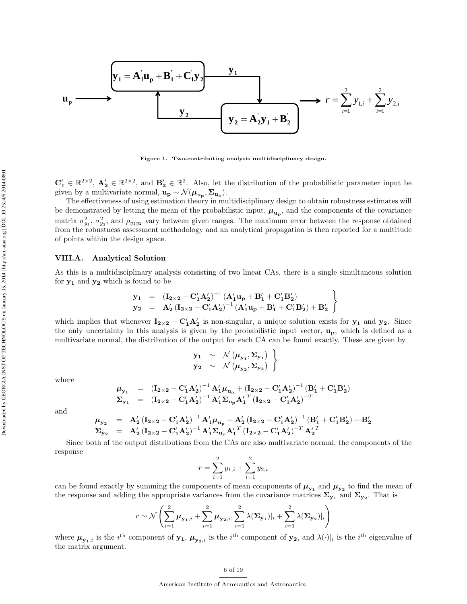$$
\mathbf{u}_{\mathbf{p}} \longrightarrow \qquad \qquad \mathbf{y}_{1} = \mathbf{A}_{1} \mathbf{u}_{\mathbf{p}} + \mathbf{B}_{1} + \mathbf{C}_{1} \mathbf{y}_{2} \qquad \qquad \mathbf{y}_{1} \qquad \qquad \mathbf{y}_{2} \qquad \qquad \mathbf{y}_{3} \longrightarrow r = \sum_{i=1}^{2} y_{1,i} + \sum_{i=1}^{2} y_{2,i}
$$

Figure 1. Two-contributing analysis multidisciplinary design.

 $\mathbf{C}'_1 \in \mathbb{R}^{2 \times 2}$ ,  $\mathbf{A}'_2 \in \mathbb{R}^{2 \times 2}$ , and  $\mathbf{B}'_2 \in \mathbb{R}^{2}$ . Also, let the distribution of the probabilistic parameter input be given by a multivariate normal,  $\mathbf{u}_{\mathbf{p}} \sim \mathcal{N}(\mu_{\mathbf{u}_{\mathbf{p}}}, \Sigma_{\mathbf{u}_{\mathbf{p}}}).$ 

The effectiveness of using estimation theory in multidisciplinary design to obtain robustness estimates will be demonstrated by letting the mean of the probabilistic input,  $\mu_{u_p}$ , and the components of the covariance matrix  $\sigma_{y_1}^2$ ,  $\sigma_{y_2}^2$ , and  $\rho_{y_1y_2}$  vary between given ranges. The maximum error between the response obtained from the robustness assessment methodology and an analytical propagation is then reported for a multitude of points within the design space.

#### VIII.A. Analytical Solution

As this is a multidisciplinary analysis consisting of two linear CAs, there is a single simultaneous solution for  $y_1$  and  $y_2$  which is found to be

$$
\left.\begin{array}{lll}y_1&=&\left({I_{2\times 2}}-{C_1^\prime A_2^\prime}\right)^{-1}\left({A_1^\prime u_p}+{B_1^\prime}+{C_1^\prime B_2^\prime}\right)\\ y_2&=&A_2^\prime\left({I_{2\times 2}}-{C_1^\prime A_2^\prime}\right)^{-1}\left({A_1^\prime u_p}+{B_1^\prime}+{C_1^\prime B_2^\prime}\right)+{B_2^\prime}\end{array}\right\}
$$

which implies that whenever  $I_{2\times 2} - C_1' A_2'$  is non-singular, a unique solution exists for  $y_1$  and  $y_2$ . Since the only uncertainty in this analysis is given by the probabilistic input vector,  $\mathbf{u}_{\mathbf{p}}$ , which is defined as a multivariate normal, the distribution of the output for each CA can be found exactly. These are given by

$$
\begin{array}{ccc}\n\mathbf{y}_1 & \sim & \mathcal{N}(\mu_{\mathbf{y}_1}, \Sigma_{\mathbf{y}_1}) \\
\mathbf{y}_2 & \sim & \mathcal{N}(\mu_{\mathbf{y}_2}, \Sigma_{\mathbf{y}_2})\n\end{array}
$$

where

$$
\begin{array}{lll}\n\mu_{y_1} & = & \left( \mathbf{I}_{2 \times 2} - \mathbf{C}_1' \mathbf{A}_2' \right)^{-1} \mathbf{A}_1' \mu_{\mathbf{u}_p} + \left( \mathbf{I}_{2 \times 2} - \mathbf{C}_1' \mathbf{A}_2' \right)^{-1} \left( \mathbf{B}_1' + \mathbf{C}_1' \mathbf{B}_2' \right) \\
\Sigma_{y_1} & = & \left( \mathbf{I}_{2 \times 2} - \mathbf{C}_1' \mathbf{A}_2' \right)^{-1} \mathbf{A}_1' \Sigma_{\mathbf{u}_p} \mathbf{A}_1' \right.^{T} \left( \mathbf{I}_{2 \times 2} - \mathbf{C}_1' \mathbf{A}_2' \right)^{-T}\n\end{array}
$$

and

$$
\begin{array}{lcl}\mu_{y_{2}} & = & A_{2}^{\prime}\left(I_{2\times2}-C_{1}^{\prime}A_{2}^{\prime}\right)^{-1}A_{1}^{\prime}\mu_{u_{p}}+A_{2}^{\prime}\left(I_{2\times2}-C_{1}^{\prime}A_{2}^{\prime}\right)^{-1}\left(B_{1}^{\prime}+C_{1}^{\prime}B_{2}^{\prime}\right)+B_{2}^{\prime}\\ \Sigma_{y_{2}} & = & A_{2}^{\prime}\left(I_{2\times2}-C_{1}^{\prime}A_{2}^{\prime}\right)^{-1}A_{1}^{\prime}\Sigma_{u_{p}}{A_{1}^{\prime}}^{T}\left(I_{2\times2}-C_{1}^{\prime}A_{2}^{\prime}\right)^{-T}{A_{2}^{\prime}}^{T}\end{array}
$$

Since both of the output distributions from the CAs are also multivariate normal, the components of the response

$$
r = \sum_{i=1}^{2} y_{1,i} + \sum_{i=1}^{2} y_{2,i}
$$

can be found exactly by summing the components of mean components of  $\mu_{y_1}$  and  $\mu_{y_2}$  to find the mean of the response and adding the appropriate variances from the covariance matrices  $\Sigma_{y_1}$  and  $\Sigma_{y_2}$ . That is

$$
r \sim \mathcal{N}\left(\sum_{i=1}^2 \mu_{\mathbf{y_1},i} + \sum_{i=1}^2 \mu_{\mathbf{y_2},i}, \sum_{i=1}^2 \lambda(\mathbf{\Sigma}_{\mathbf{y_1}})|_i + \sum_{i=1}^2 \lambda(\mathbf{\Sigma}_{\mathbf{y_2}})|_i\right)
$$

where  $\mu_{y_1,i}$  is the i<sup>th</sup> component of  $y_1, \mu_{y_2,i}$  is the i<sup>th</sup> component of  $y_2$ , and  $\lambda(\cdot)|_i$  is the i<sup>th</sup> eigenvalue of the matrix argument.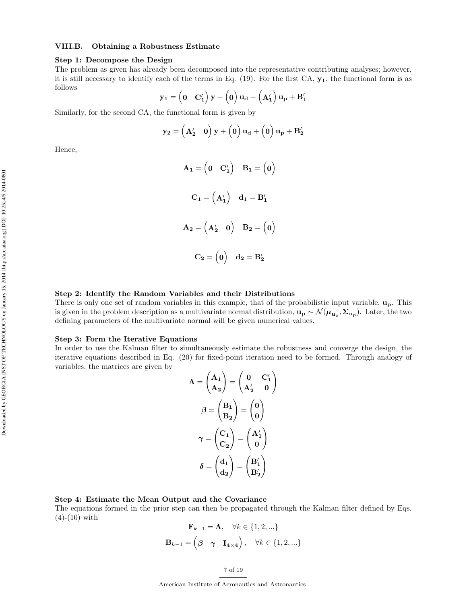## VIII.B. Obtaining a Robustness Estimate

#### Step 1: Decompose the Design

The problem as given has already been decomposed into the representative contributing analyses; however, it is still necessary to identify each of the terms in Eq.  $(19)$ . For the first CA,  $\mathbf{y}_1$ , the functional form is as follows

$$
\mathbf{y_1} = \begin{pmatrix} 0 & \mathbf{C'_1} \end{pmatrix} \mathbf{y} + \begin{pmatrix} 0 \end{pmatrix} \mathbf{u_d} + \begin{pmatrix} \mathbf{A'_1} \end{pmatrix} \mathbf{u_p} + \mathbf{B'_1}
$$

Similarly, for the second CA, the functional form is given by

$$
\mathbf{y_2} = \left(\mathbf{A_2'} \quad \mathbf{0}\right) \mathbf{y} + \left(\mathbf{0}\right) \mathbf{u_d} + \left(\mathbf{0}\right) \mathbf{u_p} + \mathbf{B_2'}
$$

Hence,

$$
A_1 = \begin{pmatrix} 0 & C'_1 \end{pmatrix} \quad B_1 = \begin{pmatrix} 0 \end{pmatrix}
$$

$$
C_1 = \begin{pmatrix} A'_1 \end{pmatrix} \quad d_1 = B'_1
$$

$$
A_2 = \begin{pmatrix} A'_2 & 0 \end{pmatrix} \quad B_2 = \begin{pmatrix} 0 \end{pmatrix}
$$

$$
C_2 = \begin{pmatrix} 0 \end{pmatrix} \quad d_2 = B'_2
$$

#### Step 2: Identify the Random Variables and their Distributions

There is only one set of random variables in this example, that of the probabilistic input variable, up. This is given in the problem description as a multivariate normal distribution,  $u_p \sim \mathcal{N}(\mu_{u_p}, \Sigma_{u_p})$ . Later, the two defining parameters of the multivariate normal will be given numerical values.

#### Step 3: Form the Iterative Equations

In order to use the Kalman filter to simultaneously estimate the robustness and converge the design, the iterative equations described in Eq. (20) for fixed-point iteration need to be formed. Through analogy of variables, the matrices are given by

$$
\Lambda = \begin{pmatrix} A_1 \\ A_2 \end{pmatrix} = \begin{pmatrix} 0 & C'_1 \\ A'_2 & 0 \end{pmatrix}
$$

$$
\beta = \begin{pmatrix} B_1 \\ B_2 \end{pmatrix} = \begin{pmatrix} 0 \\ 0 \end{pmatrix}
$$

$$
\gamma = \begin{pmatrix} C_1 \\ C_2 \end{pmatrix} = \begin{pmatrix} A'_1 \\ 0 \end{pmatrix}
$$

$$
\delta = \begin{pmatrix} d_1 \\ d_2 \end{pmatrix} = \begin{pmatrix} B'_1 \\ B'_2 \end{pmatrix}
$$

## Step 4: Estimate the Mean Output and the Covariance

The equations formed in the prior step can then be propagated through the Kalman filter defined by Eqs.  $(4)-(10)$  with

$$
\mathbf{F}_{k-1} = \mathbf{\Lambda}, \quad \forall k \in \{1, 2, \ldots\}
$$

$$
\mathbf{B}_{k-1} = \begin{pmatrix} \beta & \gamma & \mathbf{I}_{4 \times 4} \end{pmatrix}, \quad \forall k \in \{1, 2, \ldots\}
$$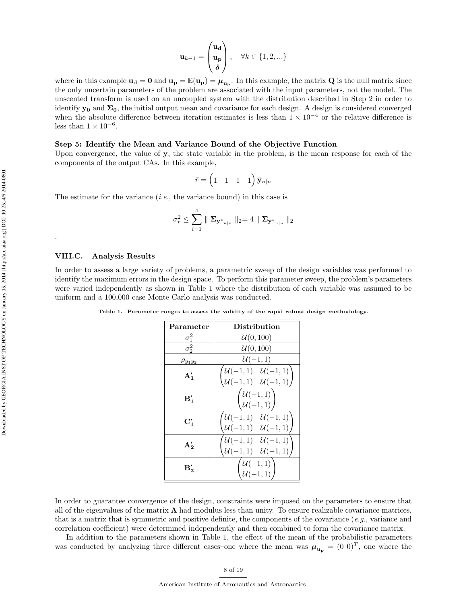$$
\mathbf{u}_{k-1} = \begin{pmatrix} \mathbf{u}_{\mathbf{d}} \\ \mathbf{u}_{\mathbf{p}} \\ \delta \end{pmatrix}, \quad \forall k \in \{1, 2, \ldots\}
$$

where in this example  $u_d = 0$  and  $u_p = \mathbb{E}(u_p) = \mu_{u_p}$ . In this example, the matrix  $Q$  is the null matrix since the only uncertain parameters of the problem are associated with the input parameters, not the model. The unscented transform is used on an uncoupled system with the distribution described in Step 2 in order to identify  $y_0$  and  $\Sigma_0$ , the initial output mean and covariance for each design. A design is considered converged when the absolute difference between iteration estimates is less than  $1 \times 10^{-4}$  or the relative difference is less than  $1 \times 10^{-6}$ .

#### Step 5: Identify the Mean and Variance Bound of the Objective Function

Upon convergence, the value of y, the state variable in the problem, is the mean response for each of the components of the output CAs. In this example,

$$
\bar{r} = \begin{pmatrix} 1 & 1 & 1 & 1 \end{pmatrix} \hat{\mathbf{y}}_{n|n}
$$

The estimate for the variance  $(i.e.,$  the variance bound) in this case is

$$
\sigma_r^2 \leq \sum_{i=1}^4 \parallel \mathbf{\Sigma}_{\mathbf{y^*}_{n|n}} \parallel_2 = 4 \parallel \mathbf{\Sigma}_{\mathbf{y^*}_{n|n}} \parallel_2
$$

#### VIII.C. Analysis Results

.

In order to assess a large variety of problems, a parametric sweep of the design variables was performed to identify the maximum errors in the design space. To perform this parameter sweep, the problem's parameters were varied independently as shown in Table 1 where the distribution of each variable was assumed to be uniform and a 100,000 case Monte Carlo analysis was conducted.

Table 1. Parameter ranges to assess the validity of the rapid robust design methodology.

| Parameter       | Distribution                                                                                                  |  |  |
|-----------------|---------------------------------------------------------------------------------------------------------------|--|--|
| $\sigma_1^2$    | $\mathcal{U}(0,100)$                                                                                          |  |  |
| $\sigma_2^2$    | U(0, 100)                                                                                                     |  |  |
| $\rho_{y_1y_2}$ | $U(-1,1)$                                                                                                     |  |  |
| $A'_1$          | $\begin{pmatrix} \mathcal{U}(-1,1) & \mathcal{U}(-1,1) \ \mathcal{U}(-1,1) & \mathcal{U}(-1,1) \end{pmatrix}$ |  |  |
| $B'_{1}$        | $\overline{\left\{\begin{matrix} \mathcal{U}(-1,1) \\ \mathcal{U}(-1,1) \end{matrix}\right\}}$                |  |  |
| $\mathbf{C}'_1$ | $\mathcal{U}(-1,1) \quad \mathcal{U}(-1,1)$<br>$\mathcal{U}(-1,1) \quad \mathcal{U}(-1,1)$                    |  |  |
| $A'_{2}$        | $\mathcal{U}(-1,1) \quad \mathcal{U}(-1,1)$<br>$\mathcal{U}(-1,1) \quad \mathcal{U}(-1,1)$                    |  |  |
| В,              | $\begin{pmatrix} \mathcal{U}(-1,1) \ \mathcal{U}(-1,1) \end{pmatrix}$                                         |  |  |

In order to guarantee convergence of the design, constraints were imposed on the parameters to ensure that all of the eigenvalues of the matrix  $\Lambda$  had modulus less than unity. To ensure realizable covariance matrices, that is a matrix that is symmetric and positive definite, the components of the covariance  $(e.g.,)$  variance and correlation coefficient) were determined independently and then combined to form the covariance matrix.

In addition to the parameters shown in Table 1, the effect of the mean of the probabilistic parameters was conducted by analyzing three different cases-one where the mean was  $\mu_{\mathbf{u_p}} = (0 \ 0)^T$ , one where the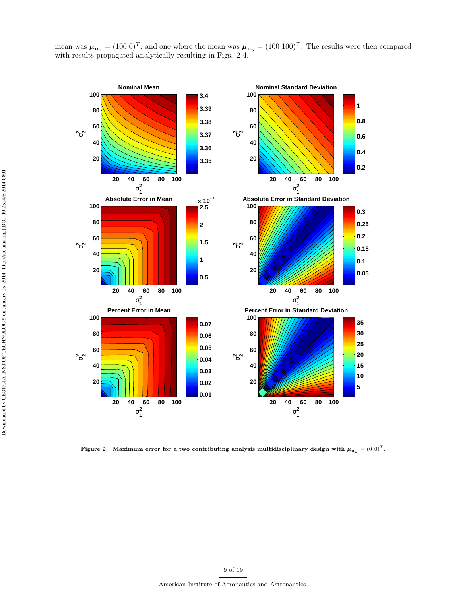mean was  $\mu_{\mathbf{u_p}} = (100 \ 0)^T$ , and one where the mean was  $\mu_{\mathbf{u_p}} = (100 \ 100)^T$ . The results were then compared with results propagated analytically resulting in Figs. 2-4.



Figure 2. Maximum error for a two contributing analysis multidisciplinary design with  $\mu_{u_p} = (0 \ 0)^T$ .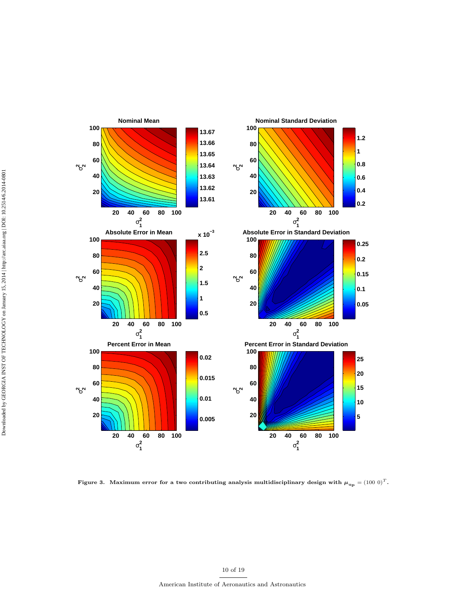

Figure 3. Maximum error for a two contributing analysis multidisciplinary design with  $\mu_{\text{u}_p} = (100 \ 0)^T$ .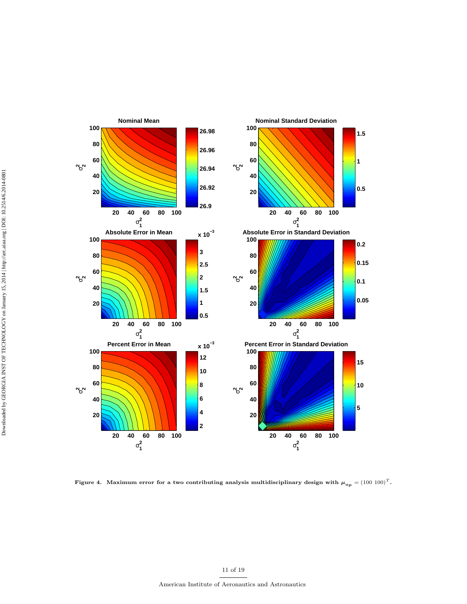

Figure 4. Maximum error for a two contributing analysis multidisciplinary design with  $\mu_{\text{u}_p} = (100 \ 100)^T$ .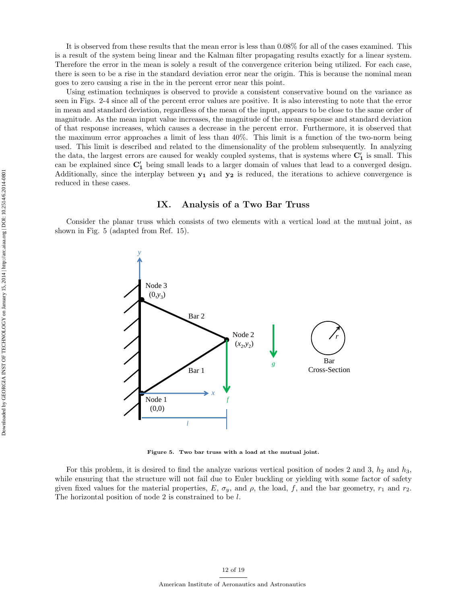It is observed from these results that the mean error is less than 0.08% for all of the cases examined. This is a result of the system being linear and the Kalman filter propagating results exactly for a linear system. Therefore the error in the mean is solely a result of the convergence criterion being utilized. For each case, there is seen to be a rise in the standard deviation error near the origin. This is because the nominal mean goes to zero causing a rise in the in the percent error near this point.

Using estimation techniques is observed to provide a consistent conservative bound on the variance as seen in Figs. 2-4 since all of the percent error values are positive. It is also interesting to note that the error in mean and standard deviation, regardless of the mean of the input, appears to be close to the same order of magnitude. As the mean input value increases, the magnitude of the mean response and standard deviation of that response increases, which causes a decrease in the percent error. Furthermore, it is observed that the maximum error approaches a limit of less than 40%. This limit is a function of the two-norm being used. This limit is described and related to the dimensionality of the problem subsequently. In analyzing the data, the largest errors are caused for weakly coupled systems, that is systems where  $C'_1$  is small. This can be explained since  $C'_1$  being small leads to a larger domain of values that lead to a converged design. Additionally, since the interplay between  $y_1$  and  $y_2$  is reduced, the iterations to achieve convergence is reduced in these cases.

## IX. Analysis of a Two Bar Truss

Consider the planar truss which consists of two elements with a vertical load at the mutual joint, as shown in Fig. 5 (adapted from Ref. 15).



Figure 5. Two bar truss with a load at the mutual joint.

For this problem, it is desired to find the analyze various vertical position of nodes 2 and 3,  $h_2$  and  $h_3$ , while ensuring that the structure will not fail due to Euler buckling or yielding with some factor of safety given fixed values for the material properties, E,  $\sigma_y$ , and  $\rho$ , the load, f, and the bar geometry,  $r_1$  and  $r_2$ . The horizontal position of node 2 is constrained to be l.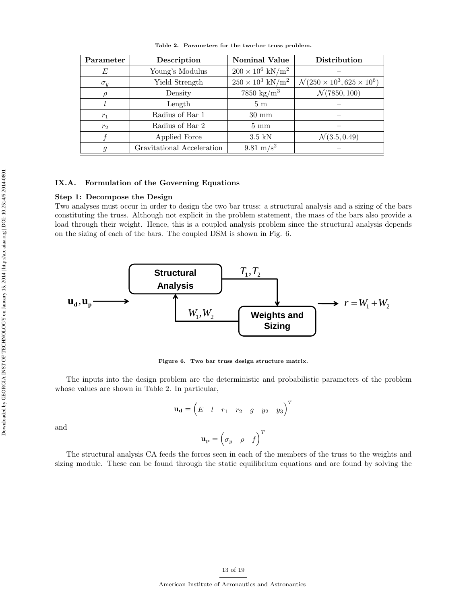| Parameter      | Description                | <b>Nominal Value</b>                | Distribution                                    |
|----------------|----------------------------|-------------------------------------|-------------------------------------------------|
| E              | Young's Modulus            | $200 \times 10^6$ kN/m <sup>2</sup> |                                                 |
| $\sigma_y$     | Yield Strength             | $250 \times 10^3 \text{ kN/m}^2$    | $\mathcal{N}(250 \times 10^3, 625 \times 10^6)$ |
|                | Density                    | $7850 \text{ kg/m}^3$               | $\mathcal{N}(7850, 100)$                        |
|                | Length                     | 5 <sub>m</sub>                      |                                                 |
| $r_1$          | Radius of Bar 1            | $30 \text{ mm}$                     |                                                 |
| $r_2$          | Radius of Bar 2            | $5 \text{ mm}$                      |                                                 |
|                | Applied Force              | $3.5$ kN                            | $\mathcal{N}(3.5, 0.49)$                        |
| $\mathfrak{g}$ | Gravitational Acceleration | 9.81 m/s <sup>2</sup>               |                                                 |

Table 2. Parameters for the two-bar truss problem.

#### IX.A. Formulation of the Governing Equations

#### Step 1: Decompose the Design

Two analyses must occur in order to design the two bar truss: a structural analysis and a sizing of the bars constituting the truss. Although not explicit in the problem statement, the mass of the bars also provide a load through their weight. Hence, this is a coupled analysis problem since the structural analysis depends on the sizing of each of the bars. The coupled DSM is shown in Fig. 6.



Figure 6. Two bar truss design structure matrix.

The inputs into the design problem are the deterministic and probabilistic parameters of the problem whose values are shown in Table 2. In particular,

$$
\mathbf{u_d} = \begin{pmatrix} E & l & r_1 & r_2 & g & y_2 & y_3 \end{pmatrix}^T
$$

$$
\mathbf{u_p} = \begin{pmatrix} \sigma_y & \rho & f \end{pmatrix}^T
$$

The structural analysis CA feeds the forces seen in each of the members of the truss to the weights and sizing module. These can be found through the static equilibrium equations and are found by solving the

and

Downloaded by GEORGIA INST OF TECHNOLOGY on January 15, 2014 | http://arc.aiaa.org | DOI: 10.2514/6.2014-0801 Downloaded by GEORGIA INST OF TECHNOLOGY on January 15, 2014 | http://arc.aiaa.org | DOI: 10.2514/6.2014-0801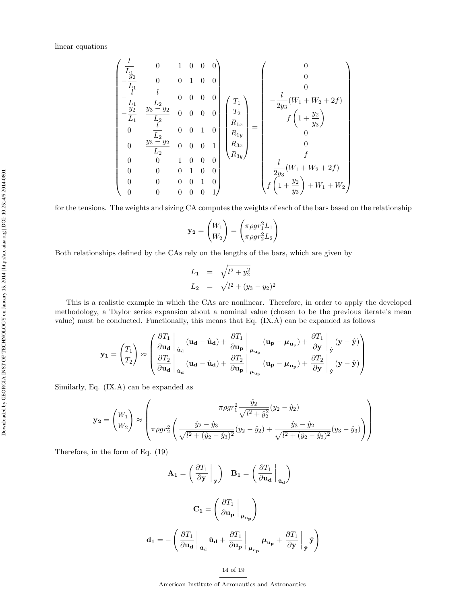$$
\begin{pmatrix}\n\frac{l}{L_1} & 0 & 1 & 0 & 0 & 0 \\
-\frac{y_2}{L_1} & 0 & 0 & 1 & 0 & 0 \\
-\frac{l}{L_1} & \frac{l}{L_2} & 0 & 0 & 0 & 0 \\
-\frac{y_2}{L_1} & \frac{l}{L_2} & 0 & 0 & 0 & 0 \\
0 & \frac{l}{L_2} & 0 & 0 & 1 & 0 \\
0 & \frac{y_3-y_2}{L_2} & 0 & 0 & 0 & 1 \\
0 & 0 & 1 & 0 & 0 & 0 \\
0 & 0 & 0 & 1 & 0 & 0 \\
0 & 0 & 0 & 0 & 1 & 0 \\
0 & 0 & 0 & 0 & 0 & 1\n\end{pmatrix}\n\begin{pmatrix}\nT_1 \\
T_2 \\
R_{1x} \\
R_{1y} \\
R_{3x} \\
R_{3x}\n\end{pmatrix} = \n\begin{pmatrix}\n0 \\
0 \\
-\frac{l}{2y_3}(W_1 + W_2 + 2f) \\
0 \\
0 \\
0 \\
0 \\
f \\
f\n\end{pmatrix}
$$

for the tensions. The weights and sizing CA computes the weights of each of the bars based on the relationship

$$
\mathbf{y_2} = \begin{pmatrix} W_1 \\ W_2 \end{pmatrix} = \begin{pmatrix} \pi \rho g r_1^2 L_1 \\ \pi \rho g r_2^2 L_2 \end{pmatrix}
$$

Both relationships defined by the CAs rely on the lengths of the bars, which are given by

$$
L_1 = \sqrt{l^2 + y_2^2}
$$
  
\n
$$
L_2 = \sqrt{l^2 + (y_3 - y_2)^2}
$$

This is a realistic example in which the CAs are nonlinear. Therefore, in order to apply the developed methodology, a Taylor series expansion about a nominal value (chosen to be the previous iterate's mean value) must be conducted. Functionally, this means that Eq. (IX.A) can be expanded as follows

$$
\mathbf{y_1} = \begin{pmatrix} T_1 \\ T_2 \end{pmatrix} \approx \begin{pmatrix} \frac{\partial T_1}{\partial \mathbf{u_d}} \Big|_{\hat{\mathbf{u}}_{\mathbf{d}}} (\mathbf{u_d} - \hat{\mathbf{u}}_{\mathbf{d}}) + \frac{\partial T_1}{\partial \mathbf{u_p}} \Big|_{\mu_{\mathbf{u_p}}} (\mathbf{u_p} - \mu_{\mathbf{u_p}}) + \frac{\partial T_1}{\partial \mathbf{y}} \Big|_{\hat{\mathbf{y}}} (\mathbf{y} - \hat{\mathbf{y}}) \\ \frac{\partial T_2}{\partial \mathbf{u_d}} \Big|_{\hat{\mathbf{u}}_{\mathbf{d}}} (\mathbf{u_d} - \hat{\mathbf{u}}_{\mathbf{d}}) + \frac{\partial T_2}{\partial \mathbf{u_p}} \Big|_{\mu_{\mathbf{u_p}}} (\mathbf{u_p} - \mu_{\mathbf{u_p}}) + \frac{\partial T_2}{\partial \mathbf{y}} \Big|_{\hat{\mathbf{y}}} (\mathbf{y} - \hat{\mathbf{y}}) \end{pmatrix}
$$

Similarly, Eq. (IX.A) can be expanded as

$$
\mathbf{y_2} = \begin{pmatrix} W_1 \\ W_2 \end{pmatrix} \approx \begin{pmatrix} \pi \rho g r_1^2 \frac{\hat{y}_2}{\sqrt{l^2 + \hat{y}_2^2}} (y_2 - \hat{y}_2) \\ \pi \rho g r_2^2 \left( \frac{\hat{y}_2 - \hat{y}_3}{\sqrt{l^2 + (\hat{y}_2 - \hat{y}_3)^2}} (y_2 - \hat{y}_2) + \frac{\hat{y}_3 - \hat{y}_2}{\sqrt{l^2 + (\hat{y}_2 - \hat{y}_3)^2}} (y_3 - \hat{y}_3) \right) \end{pmatrix}
$$

Therefore, in the form of Eq. (19)

$$
A_1 = \left(\frac{\partial T_1}{\partial y}\bigg|_{\hat{y}}\right) \quad B_1 = \left(\frac{\partial T_1}{\partial u_d}\bigg|_{\hat{u}_d}\right)
$$

$$
C_1 = \left(\frac{\partial T_1}{\partial u_p}\bigg|_{\mu_{u_p}}\right)
$$

$$
d_1 = -\left(\frac{\partial T_1}{\partial u_d}\bigg|_{\hat{u}_d} \hat{u}_d + \frac{\partial T_1}{\partial u_p}\bigg|_{\mu_{u_p}} \mu_{u_p} + \frac{\partial T_1}{\partial y}\bigg|_{\hat{y}} \hat{y}\right)
$$

14 of 19

American Institute of Aeronautics and Astronautics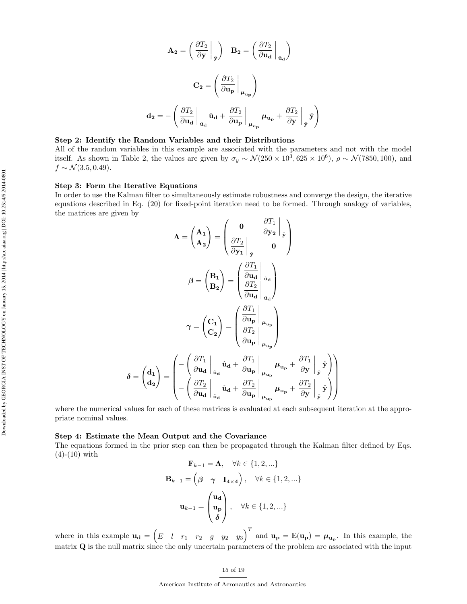$$
A_2 = \left(\frac{\partial T_2}{\partial y}\Big|_{\hat{y}}\right) \quad B_2 = \left(\frac{\partial T_2}{\partial u_d}\Big|_{\hat{u}_d}\right)
$$

$$
C_2 = \left(\frac{\partial T_2}{\partial u_p}\Big|_{\mu_{u_p}}\right)
$$

$$
d_2 = -\left(\frac{\partial T_2}{\partial u_d}\Big|_{\hat{u}_d}\hat{u}_d + \frac{\partial T_2}{\partial u_p}\Big|_{\mu_{u_p}}\mu_{u_p} + \frac{\partial T_2}{\partial y}\Big|_{\hat{y}}\hat{y}\right)
$$

# Step 2: Identify the Random Variables and their Distributions

All of the random variables in this example are associated with the parameters and not with the model itself. As shown in Table 2, the values are given by  $\sigma_y \sim \mathcal{N}(250 \times 10^3, 625 \times 10^6)$ ,  $\rho \sim \mathcal{N}(7850, 100)$ , and  $f \sim \mathcal{N}(3.5, 0.49)$ .

#### Step 3: Form the Iterative Equations

In order to use the Kalman filter to simultaneously estimate robustness and converge the design, the iterative equations described in Eq. (20) for fixed-point iteration need to be formed. Through analogy of variables, the matrices are given by

$$
\Lambda = \begin{pmatrix} A_1 \\ A_2 \end{pmatrix} = \begin{pmatrix} 0 & \frac{\partial T_1}{\partial y_2} \Big|_{\hat{y}} \\ \frac{\partial T_2}{\partial y_1} \Big|_{\hat{y}} & 0 \end{pmatrix}
$$

$$
\beta = \begin{pmatrix} B_1 \\ B_2 \end{pmatrix} = \begin{pmatrix} \frac{\partial T_1}{\partial u_d} \Big|_{\hat{u}_d} \\ \frac{\partial T_2}{\partial u_d} \Big|_{\hat{u}_d} \end{pmatrix}
$$

$$
\gamma = \begin{pmatrix} C_1 \\ C_2 \end{pmatrix} = \begin{pmatrix} \frac{\partial T_1}{\partial u_p} \Big|_{\mu_{u_p}} \\ \frac{\partial T_2}{\partial u_p} \Big|_{\mu_{u_p}} \end{pmatrix}
$$

$$
\delta = \begin{pmatrix} d_1 \\ d_2 \end{pmatrix} = \begin{pmatrix} -\left(\frac{\partial T_1}{\partial u_d} \Big|_{\hat{u}_d} \hat{u}_d + \frac{\partial T_1}{\partial u_p} \Big|_{\mu_{u_p}} \mu_{u_p} + \frac{\partial T_1}{\partial y} \Big|_{\hat{y}} \hat{y} \end{pmatrix}
$$

$$
\delta = \begin{pmatrix} d_1 \\ d_2 \end{pmatrix} = \begin{pmatrix} -\left(\frac{\partial T_1}{\partial u_d} \Big|_{\hat{u}_d} \hat{u}_d + \frac{\partial T_1}{\partial u_p} \Big|_{\mu_{u_p}} \mu_{u_p} + \frac{\partial T_1}{\partial y} \Big|_{\hat{y}} \hat{y} \end{pmatrix}
$$

where the numerical values for each of these matrices is evaluated at each subsequent iteration at the appropriate nominal values.

#### Step 4: Estimate the Mean Output and the Covariance

The equations formed in the prior step can then be propagated through the Kalman filter defined by Eqs.  $(4)-(10)$  with

$$
\mathbf{F}_{k-1} = \mathbf{\Lambda}, \quad \forall k \in \{1, 2, \ldots\}
$$
\n
$$
\mathbf{B}_{k-1} = \begin{pmatrix} \beta & \gamma & \mathbf{I}_{4 \times 4} \end{pmatrix}, \quad \forall k \in \{1, 2, \ldots\}
$$
\n
$$
\mathbf{u}_{k-1} = \begin{pmatrix} \mathbf{u}_{\mathbf{d}} \\ \mathbf{u}_{\mathbf{p}} \\ \delta \end{pmatrix}, \quad \forall k \in \{1, 2, \ldots\}
$$

where in this example  $\mathbf{u_d} = \begin{pmatrix} E & l & r_1 & r_2 & g & y_2 & y_3 \end{pmatrix}^T$  and  $\mathbf{u_p} = \mathbb{E}(\mathbf{u_p}) = \boldsymbol{\mu_{u_p}}$ . In this example, the matrix Q is the null matrix since the only uncertain parameters of the problem are associated with the input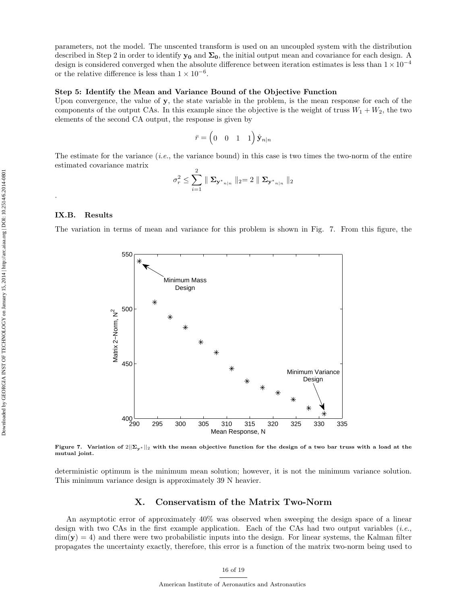parameters, not the model. The unscented transform is used on an uncoupled system with the distribution described in Step 2 in order to identify  $y_0$  and  $\Sigma_0$ , the initial output mean and covariance for each design. A design is considered converged when the absolute difference between iteration estimates is less than  $1 \times 10^{-4}$ or the relative difference is less than  $1 \times 10^{-6}$ .

#### Step 5: Identify the Mean and Variance Bound of the Objective Function

Upon convergence, the value of y, the state variable in the problem, is the mean response for each of the components of the output CAs. In this example since the objective is the weight of truss  $W_1 + W_2$ , the two elements of the second CA output, the response is given by

$$
\bar{r} = \begin{pmatrix} 0 & 0 & 1 & 1 \end{pmatrix} \hat{\mathbf{y}}_{n|n}
$$

The estimate for the variance  $(i.e.,$  the variance bound) in this case is two times the two-norm of the entire estimated covariance matrix

$$
\sigma_r^2 \leq \sum_{i=1}^2 \parallel \mathbf{\Sigma}_{\mathbf{y^*}_{n|n}} \parallel_2 = 2 \parallel \mathbf{\Sigma}_{\mathbf{y^*}_{n|n}} \parallel_2
$$

#### IX.B. Results

.

The variation in terms of mean and variance for this problem is shown in Fig. 7. From this figure, the



Figure 7. Variation of  $2||\Sigma_{\mathbf{v}^*}||_2$  with the mean objective function for the design of a two bar truss with a load at the mutual joint.

deterministic optimum is the minimum mean solution; however, it is not the minimum variance solution. This minimum variance design is approximately 39 N heavier.

# X. Conservatism of the Matrix Two-Norm

An asymptotic error of approximately 40% was observed when sweeping the design space of a linear design with two CAs in the first example application. Each of the CAs had two output variables (*i.e.*,  $\dim(y) = 4$ ) and there were two probabilistic inputs into the design. For linear systems, the Kalman filter propagates the uncertainty exactly, therefore, this error is a function of the matrix two-norm being used to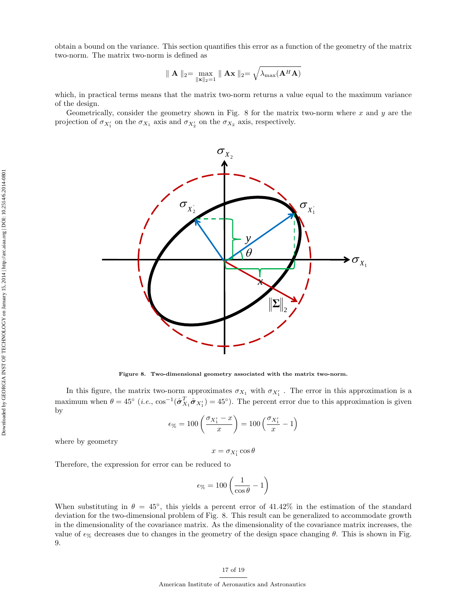obtain a bound on the variance. This section quantifies this error as a function of the geometry of the matrix two-norm. The matrix two-norm is defined as

$$
\parallel \mathbf{A} \parallel_2 = \max_{\parallel \mathbf{x} \parallel_2 = 1} \parallel \mathbf{A} \mathbf{x} \parallel_2 = \sqrt{\lambda_{\text{max}}(\mathbf{A}^H \mathbf{A})}
$$

which, in practical terms means that the matrix two-norm returns a value equal to the maximum variance of the design.

Geometrically, consider the geometry shown in Fig. 8 for the matrix two-norm where  $x$  and  $y$  are the projection of  $\sigma_{X_1'}$  on the  $\sigma_{X_1}$  axis and  $\sigma_{X_2'}$  on the  $\sigma_{X_2}$  axis, respectively.



Figure 8. Two-dimensional geometry associated with the matrix two-norm.

In this figure, the matrix two-norm approximates  $\sigma_{X_1}$  with  $\sigma_{X'_1}$ . The error in this approximation is a maximum when  $\theta = 45^{\circ}$  (*i.e.*,  $\cos^{-1}(\hat{\sigma}_{X_1}^T \hat{\sigma}_{X_1'}) = 45^{\circ}$ ). The percent error due to this approximation is given by

$$
\epsilon_{\%} = 100 \left( \frac{\sigma_{X_1'} - x}{x} \right) = 100 \left( \frac{\sigma_{X_1'}}{x} - 1 \right)
$$

where by geometry

$$
x = \sigma_{X'_1} \cos \theta
$$

Therefore, the expression for error can be reduced to

$$
\epsilon_{\%} = 100 \left( \frac{1}{\cos \theta} - 1 \right)
$$

When substituting in  $\theta = 45^{\circ}$ , this yields a percent error of 41.42% in the estimation of the standard deviation for the two-dimensional problem of Fig. 8. This result can be generalized to accommodate growth in the dimensionality of the covariance matrix. As the dimensionality of the covariance matrix increases, the value of  $\epsilon_{\%}$  decreases due to changes in the geometry of the design space changing  $\theta$ . This is shown in Fig. 9.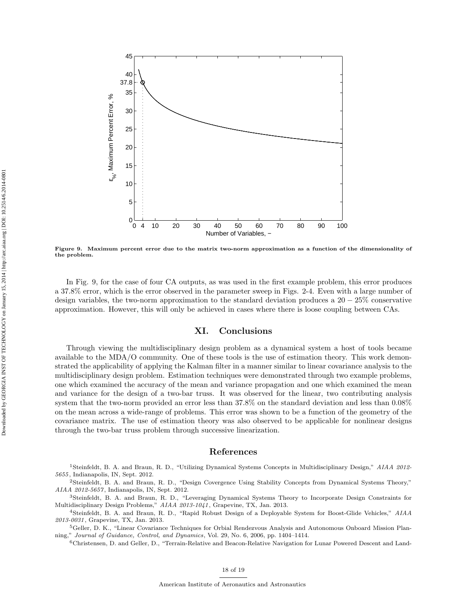

Figure 9. Maximum percent error due to the matrix two-norm approximation as a function of the dimensionality of the problem.

In Fig. 9, for the case of four CA outputs, as was used in the first example problem, this error produces a 37.8% error, which is the error observed in the parameter sweep in Figs. 2-4. Even with a large number of design variables, the two-norm approximation to the standard deviation produces a  $20 - 25\%$  conservative approximation. However, this will only be achieved in cases where there is loose coupling between CAs.

# XI. Conclusions

Through viewing the multidisciplinary design problem as a dynamical system a host of tools became available to the MDA/O community. One of these tools is the use of estimation theory. This work demonstrated the applicability of applying the Kalman filter in a manner similar to linear covariance analysis to the multidisciplinary design problem. Estimation techniques were demonstrated through two example problems, one which examined the accuracy of the mean and variance propagation and one which examined the mean and variance for the design of a two-bar truss. It was observed for the linear, two contributing analysis system that the two-norm provided an error less than 37.8% on the standard deviation and less than 0.08% on the mean across a wide-range of problems. This error was shown to be a function of the geometry of the covariance matrix. The use of estimation theory was also observed to be applicable for nonlinear designs through the two-bar truss problem through successive linearization.

## References

<sup>1</sup>Steinfeldt, B. A. and Braun, R. D., "Utilizing Dynamical Systems Concepts in Multidisciplinary Design," AIAA 2012-5655, Indianapolis, IN, Sept. 2012.

<sup>2</sup>Steinfeldt, B. A. and Braun, R. D., "Design Covergence Using Stability Concepts from Dynamical Systems Theory," AIAA 2012-5657 , Indianapolis, IN, Sept. 2012.

<sup>3</sup>Steinfeldt, B. A. and Braun, R. D., "Leveraging Dynamical Systems Theory to Incorporate Design Constraints for Multidisciplinary Design Problems," AIAA 2013-1041 , Grapevine, TX, Jan. 2013.

<sup>4</sup>Steinfeldt, B. A. and Braun, R. D., "Rapid Robust Design of a Deployable System for Boost-Glide Vehicles," AIAA 2013-0031 , Grapevine, TX, Jan. 2013.

<sup>5</sup>Geller, D. K., "Linear Covariance Techniques for Orbial Rendezvous Analysis and Autonomous Onboard Mission Planning," Journal of Guidance, Control, and Dynamics, Vol. 29, No. 6, 2006, pp. 1404–1414.

<sup>6</sup>Christensen, D. and Geller, D., "Terrain-Relative and Beacon-Relative Navigation for Lunar Powered Descent and Land-